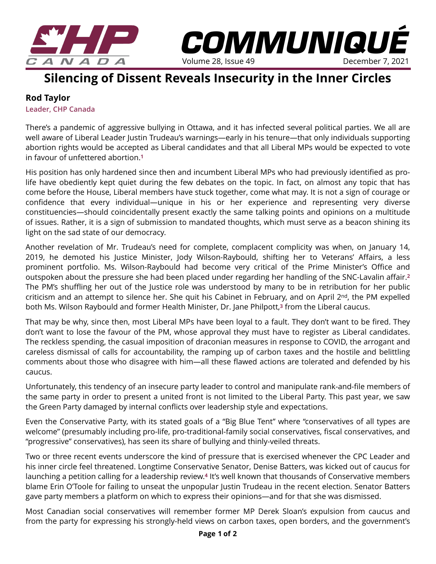

## **Silencing of Dissent Reveals Insecurity in the Inner Circles**

Volume 28, Issue 49

*COMMUNIQUÉ* 

## **Rod Taylor**

**Leader, CHP Canada** 

There's a pandemic of aggressive bullying in Ottawa, and it has infected several political parties. We all are well aware of Liberal Leader Justin Trudeau's warnings—early in his tenure—that only individuals supporting abortion rights would be accepted as Liberal candidates and that all Liberal MPs would be expected to vote in favour of unfettered abortion.**[1](https://www.lifesitenews.com/news/we-will-be-whipping-the-vote-trudeau-says-he-will-force-liberal-mps-to-vote/)**

His position has only hardened since then and incumbent Liberal MPs who had previously identified as prolife have obediently kept quiet during the few debates on the topic. In fact, on almost any topic that has come before the House, Liberal members have stuck together, come what may. It is not a sign of courage or confidence that every individual—unique in his or her experience and representing very diverse constituencies—should coincidentally present exactly the same talking points and opinions on a multitude of issues. Rather, it is a sign of submission to mandated thoughts, which must serve as a beacon shining its light on the sad state of our democracy.

Another revelation of Mr. Trudeau's need for complete, complacent complicity was when, on January 14, 2019, he demoted his Justice Minister, Jody Wilson-Raybould, shifting her to Veterans' Affairs, a less prominent portfolio. Ms. Wilson-Raybould had become very critical of the Prime Minister's Office and outspoken about the pressure she had been placed under regarding her handling of the SNC-Lavalin affair.**[2](https://www.thecanadianencyclopedia.ca/en/article/jody-wilson-raybould)** The PM's shuffling her out of the Justice role was understood by many to be in retribution for her public criticism and an attempt to silence her. She quit his Cabinet in February, and on April 2<sup>nd</sup>, the PM expelled both Ms. Wilson Raybould and former Health Minister, Dr. Jane Philpott,**[3](https://www.cbc.ca/radio/thecurrent/the-current-for-april-4-2019-1.5083352/inside-the-brief-conversation-in-which-jane-philpott-was-expelled-from-the-liberal-caucus-1.5084030)** from the Liberal caucus.

That may be why, since then, most Liberal MPs have been loyal to a fault. They don't want to be fired. They don't want to lose the favour of the PM, whose approval they must have to register as Liberal candidates. The reckless spending, the casual imposition of draconian measures in response to COVID, the arrogant and careless dismissal of calls for accountability, the ramping up of carbon taxes and the hostile and belittling comments about those who disagree with him—all these flawed actions are tolerated and defended by his caucus.

Unfortunately, this tendency of an insecure party leader to control and manipulate rank-and-file members of the same party in order to present a united front is not limited to the Liberal Party. This past year, we saw the Green Party damaged by internal conflicts over leadership style and expectations.

Even the Conservative Party, with its stated goals of a "Big Blue Tent" where "conservatives of all types are welcome" (presumably including pro-life, pro-traditional-family social conservatives, fiscal conservatives, and "progressive" conservatives), has seen its share of bullying and thinly-veiled threats.

Two or three recent events underscore the kind of pressure that is exercised whenever the CPC Leader and his inner circle feel threatened. Longtime Conservative Senator, Denise Batters, was kicked out of caucus for launching a petition calling for a leadership review.**[4](https://www.theglobeandmail.com/politics/article-senator-batters-kicked-out-of-conservative-caucus-over-challenge-to/)** It's well known that thousands of Conservative members blame Erin O'Toole for failing to unseat the unpopular Justin Trudeau in the recent election. Senator Batters gave party members a platform on which to express their opinions—and for that she was dismissed.

Most Canadian social conservatives will remember former MP Derek Sloan's expulsion from caucus and from the party for expressing his strongly-held views on carbon taxes, open borders, and the government's